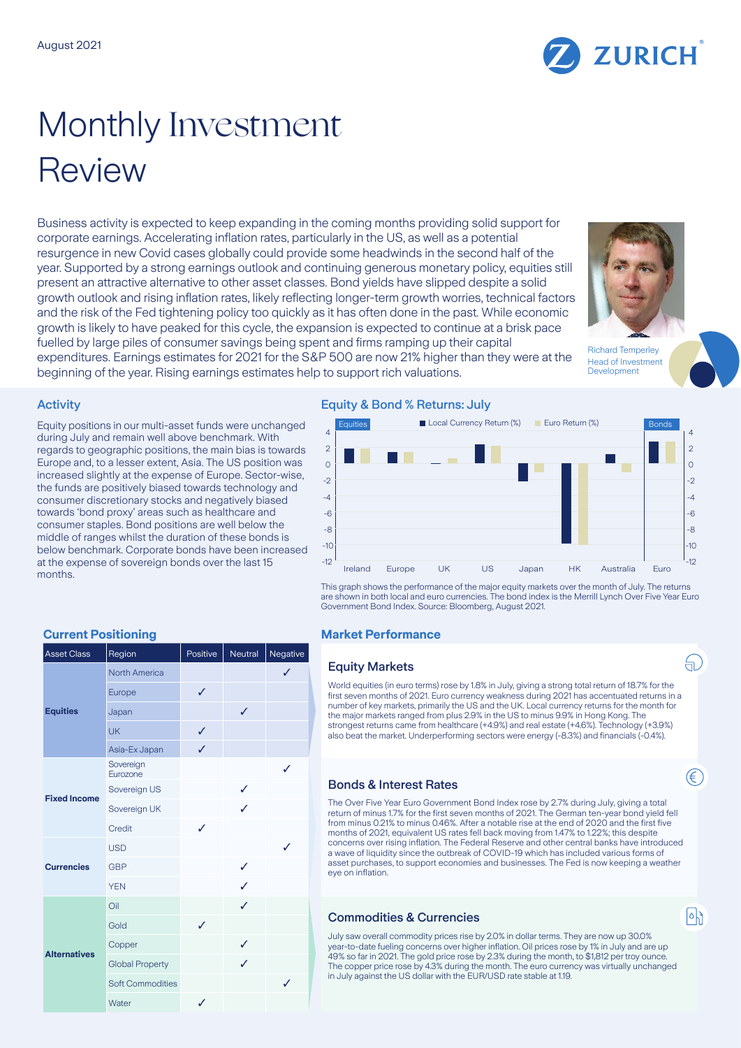

# Monthly Investment Review

Business activity is expected to keep expanding in the coming months providing solid support for corporate earnings. Accelerating inflation rates, particularly in the US, as well as a potential resurgence in new Covid cases globally could provide some headwinds in the second half of the year. Supported by a strong earnings outlook and continuing generous monetary policy, equities still present an attractive alternative to other asset classes. Bond yields have slipped despite a solid growth outlook and rising inflation rates, likely reflecting longer-term growth worries, technical factors and the risk of the Fed tightening policy too quickly as it has often done in the past. While economic growth is likely to have peaked for this cycle, the expansion is expected to continue at a brisk pace fuelled by large piles of consumer savings being spent and firms ramping up their capital expenditures. Earnings estimates for 2021 for the S&P 500 are now 21% higher than they were at the

beginning of the year. Rising earnings estimates help to support rich valuations.



Richard Temperley Head of Investment Development

ਜ਼.

∈

 $|\circ|$ 

### **Activity**

Equity positions in our multi-asset funds were unchanged during July and remain well above benchmark. With regards to geographic positions, the main bias is towards Europe and, to a lesser extent, Asia. The US position was increased slightly at the expense of Europe. Sector-wise, the funds are positively biased towards technology and consumer discretionary stocks and negatively biased towards 'bond proxy' areas such as healthcare and consumer staples. Bond positions are well below the middle of ranges whilst the duration of these bonds is below benchmark. Corporate bonds have been increased at the expense of sovereign bonds over the last 15 months.

# Equity & Bond % Returns: July



This graph shows the performance of the major equity markets over the month of July. The returns are shown in both local and euro currencies. The bond index is the Merrill Lynch Over Five Year Euro Government Bond Index. Source: Bloomberg, August 2021.

# **Current Positioning Current Positioning Current Performance**

### Equity Markets

World equities (in euro terms) rose by 1.8% in July, giving a strong total return of 18.7% for the first seven months of 2021. Euro currency weakness during 2021 has accentuated returns in a number of key markets, primarily the US and the UK. Local currency returns for the month for the major markets ranged from plus 2.9% in the US to minus 9.9% in Hong Kong. The strongest returns came from healthcare (+4.9%) and real estate (+4.6%). Technology (+3.9%) also beat the market. Underperforming sectors were energy (-8.3%) and financials (-0.4%).

# Bonds & Interest Rates

The Over Five Year Euro Government Bond Index rose by 2.7% during July, giving a total return of minus 1.7% for the first seven months of 2021. The German ten-year bond yield fell from minus 0.21% to minus 0.46%. After a notable rise at the end of 2020 and the first five months of 2021, equivalent US rates fell back moving from 1.47% to 1.22%; this despite concerns over rising inflation. The Federal Reserve and other central banks have introduced a wave of liquidity since the outbreak of COVID-19 which has included various forms of asset purchases, to support economies and businesses. The Fed is now keeping a weather eye on inflation.

# Commodities & Currencies

July saw overall commodity prices rise by 2.0% in dollar terms. They are now up 30.0% year-to-date fueling concerns over higher inflation. Oil prices rose by 1% in July and are up 49% so far in 2021. The gold price rose by 2.3% during the month, to \$1,812 per troy ounce. The copper price rose by 4.3% during the month. The euro currency was virtually unchanged in July against the US dollar with the EUR/USD rate stable at 1.19.

| <b>Asset Class</b>  | Region                  | Positive | Neutral | Negative     |
|---------------------|-------------------------|----------|---------|--------------|
| <b>Equities</b>     | North America           |          |         | ✓            |
|                     | Europe                  | ✓        |         |              |
|                     | Japan                   |          | ✓       |              |
|                     | UK                      | ✓        |         |              |
|                     | Asia-Ex Japan           | ✓        |         |              |
| <b>Fixed Income</b> | Sovereign<br>Eurozone   |          |         | ✓            |
|                     | Sovereign US            |          | ✓       |              |
|                     | Sovereign UK            |          | ✓       |              |
|                     | Credit                  | ✓        |         |              |
| <b>Currencies</b>   | <b>USD</b>              |          |         | $\checkmark$ |
|                     | <b>GBP</b>              |          | ✓       |              |
|                     | <b>YEN</b>              |          | ✓       |              |
| <b>Alternatives</b> | Oil                     |          | ✓       |              |
|                     | Gold                    | ✓        |         |              |
|                     | Copper                  |          | ✓       |              |
|                     | <b>Global Property</b>  |          | ✓       |              |
|                     | <b>Soft Commodities</b> |          |         | ✓            |
|                     | Water                   | ✓        |         |              |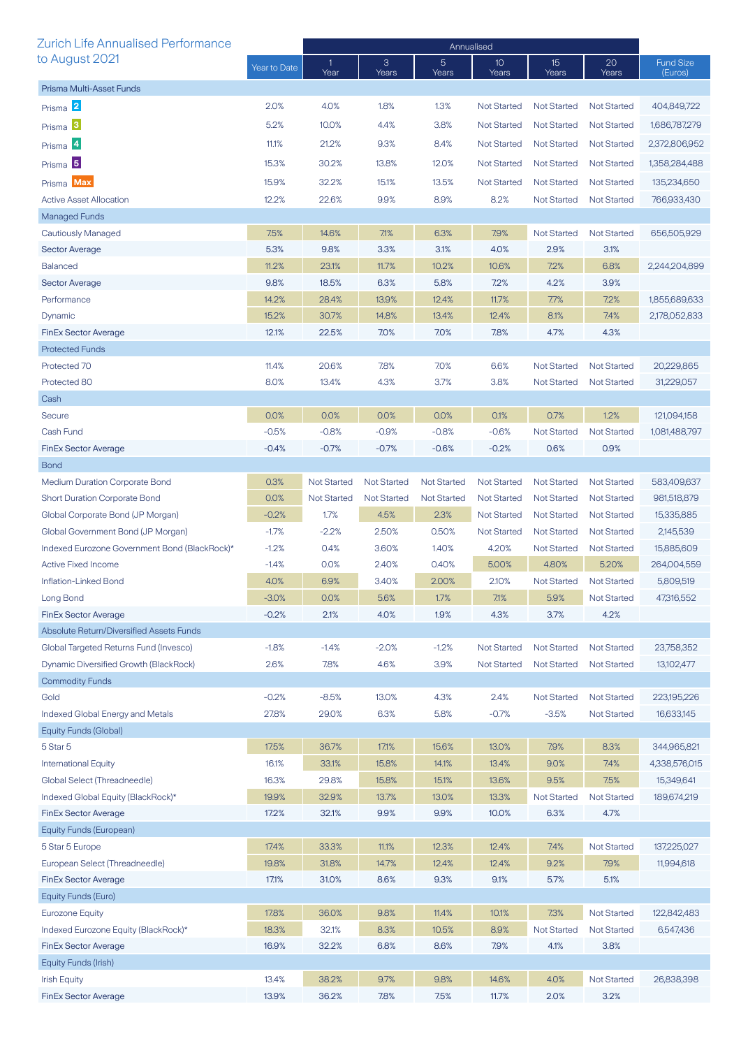| <b>Zurich Life Annualised Performance</b>            |                 | Annualised         |                    |                         |                          |                             |                    |                             |
|------------------------------------------------------|-----------------|--------------------|--------------------|-------------------------|--------------------------|-----------------------------|--------------------|-----------------------------|
| to August 2021                                       | Year to Date    | 1<br>Year          | 3<br>Years         | $\overline{5}$<br>Years | 10 <sup>°</sup><br>Years | 15 <sup>2</sup><br>Years    | 20<br>Years        | <b>Fund Size</b><br>(Euros) |
| Prisma Multi-Asset Funds                             |                 |                    |                    |                         |                          |                             |                    |                             |
| Prisma 2                                             | 2.0%            | 4.0%               | 1.8%               | 1.3%                    | <b>Not Started</b>       | <b>Not Started</b>          | <b>Not Started</b> | 404,849,722                 |
| Prisma <sup>3</sup>                                  | 5.2%            | 10.0%              | 4.4%               | 3.8%                    | <b>Not Started</b>       | <b>Not Started</b>          | <b>Not Started</b> | 1,686,787,279               |
| Prisma 4                                             | 11.1%           | 21.2%              | 9.3%               | 8.4%                    | <b>Not Started</b>       | <b>Not Started</b>          | <b>Not Started</b> | 2,372,806,952               |
|                                                      |                 |                    |                    |                         |                          | <b>Not Started</b>          |                    |                             |
| Prisma <sup>5</sup>                                  | 15.3%           | 30.2%              | 13.8%              | 12.0%                   | <b>Not Started</b>       |                             | <b>Not Started</b> | 1,358,284,488               |
| Prisma Max                                           | 15.9%           | 32.2%              | 15.1%              | 13.5%                   | Not Started              | <b>Not Started</b>          | <b>Not Started</b> | 135,234,650                 |
| <b>Active Asset Allocation</b>                       | 12.2%           | 22.6%              | 9.9%               | 8.9%                    | 8.2%                     | <b>Not Started</b>          | <b>Not Started</b> | 766,933,430                 |
| <b>Managed Funds</b>                                 |                 |                    |                    |                         |                          |                             |                    |                             |
| <b>Cautiously Managed</b>                            | 7.5%            | 14.6%              | 7.1%               | 6.3%                    | 7.9%                     | <b>Not Started</b>          | <b>Not Started</b> | 656,505,929                 |
| <b>Sector Average</b>                                | 5.3%            | 9.8%               | 3.3%               | 3.1%                    | 4.0%                     | 2.9%                        | 3.1%               |                             |
| <b>Balanced</b>                                      | 11.2%           | 23.1%              | 11.7%              | 10.2%                   | 10.6%                    | 7.2%                        | 6.8%               | 2,244,204,899               |
| <b>Sector Average</b>                                | 9.8%            | 18.5%              | 6.3%               | 5.8%                    | 7.2%                     | 4.2%                        | 3.9%               |                             |
| Performance                                          | 14.2%           | 28.4%              | 13.9%              | 12.4%                   | 11.7%                    | 7.7%                        | 7.2%               | 1,855,689,633               |
| Dynamic                                              | 15.2%           | 30.7%              | 14.8%              | 13.4%                   | 12.4%                    | 8.1%                        | 7.4%               | 2,178,052,833               |
| <b>FinEx Sector Average</b>                          | 12.1%           | 22.5%              | 7.0%               | 7.0%                    | 7.8%                     | 4.7%                        | 4.3%               |                             |
| <b>Protected Funds</b>                               |                 |                    |                    |                         |                          |                             |                    |                             |
| Protected 70                                         | 11.4%           | 20.6%              | 7.8%               | 7.0%                    | 6.6%                     | <b>Not Started</b>          | <b>Not Started</b> | 20,229,865                  |
| Protected 80                                         | 8.0%            | 13.4%              | 4.3%               | 3.7%                    | 3.8%                     | <b>Not Started</b>          | <b>Not Started</b> | 31,229,057                  |
| Cash                                                 |                 |                    |                    |                         |                          |                             |                    |                             |
| Secure                                               | 0.0%            | 0.0%               | 0.0%               | 0.0%                    | 0.1%                     | 0.7%                        | 1.2%               | 121,094,158                 |
| Cash Fund                                            | $-0.5%$         | $-0.8%$            | $-0.9%$            | $-0.8%$                 | $-0.6%$                  | <b>Not Started</b>          | <b>Not Started</b> | 1,081,488,797               |
| <b>FinEx Sector Average</b>                          | $-0.4%$         | $-0.7%$            | $-0.7%$            | $-0.6%$                 | $-0.2%$                  | 0.6%                        | 0.9%               |                             |
| <b>Bond</b><br><b>Medium Duration Corporate Bond</b> | 0.3%            | <b>Not Started</b> | <b>Not Started</b> | <b>Not Started</b>      | <b>Not Started</b>       | <b>Not Started</b>          | <b>Not Started</b> | 583,409,637                 |
| <b>Short Duration Corporate Bond</b>                 |                 | <b>Not Started</b> | <b>Not Started</b> | <b>Not Started</b>      | <b>Not Started</b>       | <b>Not Started</b>          | <b>Not Started</b> |                             |
| Global Corporate Bond (JP Morgan)                    | 0.0%<br>$-0.2%$ | 1.7%               | 4.5%               | 2.3%                    | <b>Not Started</b>       | <b>Not Started</b>          | <b>Not Started</b> | 981,518,879<br>15,335,885   |
| Global Government Bond (JP Morgan)                   | $-1.7%$         | $-2.2%$            | 2.50%              | 0.50%                   | <b>Not Started</b>       | <b>Not Started</b>          | <b>Not Started</b> | 2,145,539                   |
| Indexed Eurozone Government Bond (BlackRock)*        | $-1.2%$         | 0.4%               | 3.60%              | 1.40%                   | 4.20%                    |                             | <b>Not Started</b> | 15,885,609                  |
| <b>Active Fixed Income</b>                           | $-1.4%$         | 0.0%               | 2.40%              | 0.40%                   | 5.00%                    | <b>Not Started</b><br>4.80% | 5.20%              | 264,004,559                 |
| Inflation-Linked Bond                                | 4.0%            | 6.9%               | 3.40%              | 2.00%                   | 2.10%                    | Not Started                 | <b>Not Started</b> | 5,809,519                   |
| Long Bond                                            | $-3.0%$         | 0.0%               | 5.6%               | 1.7%                    | 7.1%                     | 5.9%                        | Not Started        | 47,316,552                  |
| <b>FinEx Sector Average</b>                          | $-0.2%$         | 2.1%               | 4.0%               | 1.9%                    | 4.3%                     | 3.7%                        | 4.2%               |                             |
| Absolute Return/Diversified Assets Funds             |                 |                    |                    |                         |                          |                             |                    |                             |
| Global Targeted Returns Fund (Invesco)               | $-1.8%$         | $-1.4%$            | $-2.0%$            | $-1.2%$                 | <b>Not Started</b>       | <b>Not Started</b>          | <b>Not Started</b> | 23,758,352                  |
| Dynamic Diversified Growth (BlackRock)               | 2.6%            | 7.8%               | 4.6%               | 3.9%                    | <b>Not Started</b>       | <b>Not Started</b>          | <b>Not Started</b> | 13,102,477                  |
| <b>Commodity Funds</b>                               |                 |                    |                    |                         |                          |                             |                    |                             |
| Gold                                                 | $-0.2%$         | $-8.5%$            | 13.0%              | 4.3%                    | 2.4%                     | <b>Not Started</b>          | <b>Not Started</b> | 223,195,226                 |
| Indexed Global Energy and Metals                     | 27.8%           | 29.0%              | 6.3%               | 5.8%                    | $-0.7%$                  | $-3.5%$                     | <b>Not Started</b> | 16,633,145                  |
| Equity Funds (Global)                                |                 |                    |                    |                         |                          |                             |                    |                             |
| 5 Star 5                                             | 17.5%           | 36.7%              | 17.1%              | 15.6%                   | 13.0%                    | 7.9%                        | 8.3%               | 344,965,821                 |
| <b>International Equity</b>                          | 16.1%           | 33.1%              | 15.8%              | 14.1%                   | 13.4%                    | 9.0%                        | 7.4%               | 4,338,576,015               |
| Global Select (Threadneedle)                         | 16.3%           | 29.8%              | 15.8%              | 15.1%                   | 13.6%                    | 9.5%                        | 7.5%               | 15,349,641                  |
| Indexed Global Equity (BlackRock)*                   | 19.9%           | 32.9%              | 13.7%              | 13.0%                   | 13.3%                    | <b>Not Started</b>          | <b>Not Started</b> | 189,674,219                 |
| <b>FinEx Sector Average</b>                          | 17.2%           | 32.1%              | 9.9%               | 9.9%                    | 10.0%                    | 6.3%                        | 4.7%               |                             |
| Equity Funds (European)                              |                 |                    |                    |                         |                          |                             |                    |                             |
| 5 Star 5 Europe                                      | 17.4%           | 33.3%              | 11.1%              | 12.3%                   | 12.4%                    | 7.4%                        | <b>Not Started</b> | 137,225,027                 |
| European Select (Threadneedle)                       | 19.8%           | 31.8%              | 14.7%              | 12.4%                   | 12.4%                    | 9.2%                        | 7.9%               | 11,994,618                  |
| <b>FinEx Sector Average</b>                          | 17.1%           | 31.0%              | 8.6%               | 9.3%                    | 9.1%                     | 5.7%                        | 5.1%               |                             |
| Equity Funds (Euro)                                  |                 |                    |                    |                         |                          |                             |                    |                             |
| <b>Eurozone Equity</b>                               | 17.8%           | 36.0%              | 9.8%               | 11.4%                   | 10.1%                    | 7.3%                        | <b>Not Started</b> | 122,842,483                 |
| Indexed Eurozone Equity (BlackRock)*                 | 18.3%           | 32.1%              | 8.3%               | 10.5%                   | 8.9%                     | <b>Not Started</b>          | <b>Not Started</b> | 6,547,436                   |
| <b>FinEx Sector Average</b>                          | 16.9%           | 32.2%              | 6.8%               | 8.6%                    | 7.9%                     | 4.1%                        | 3.8%               |                             |
| Equity Funds (Irish)                                 |                 |                    |                    |                         |                          |                             |                    |                             |
| <b>Irish Equity</b>                                  | 13.4%           | 38.2%              | 9.7%               | 9.8%                    | 14.6%                    | 4.0%                        | <b>Not Started</b> | 26,838,398                  |
| <b>FinEx Sector Average</b>                          | 13.9%           | 36.2%              | 7.8%               | 7.5%                    | 11.7%                    | 2.0%                        | 3.2%               |                             |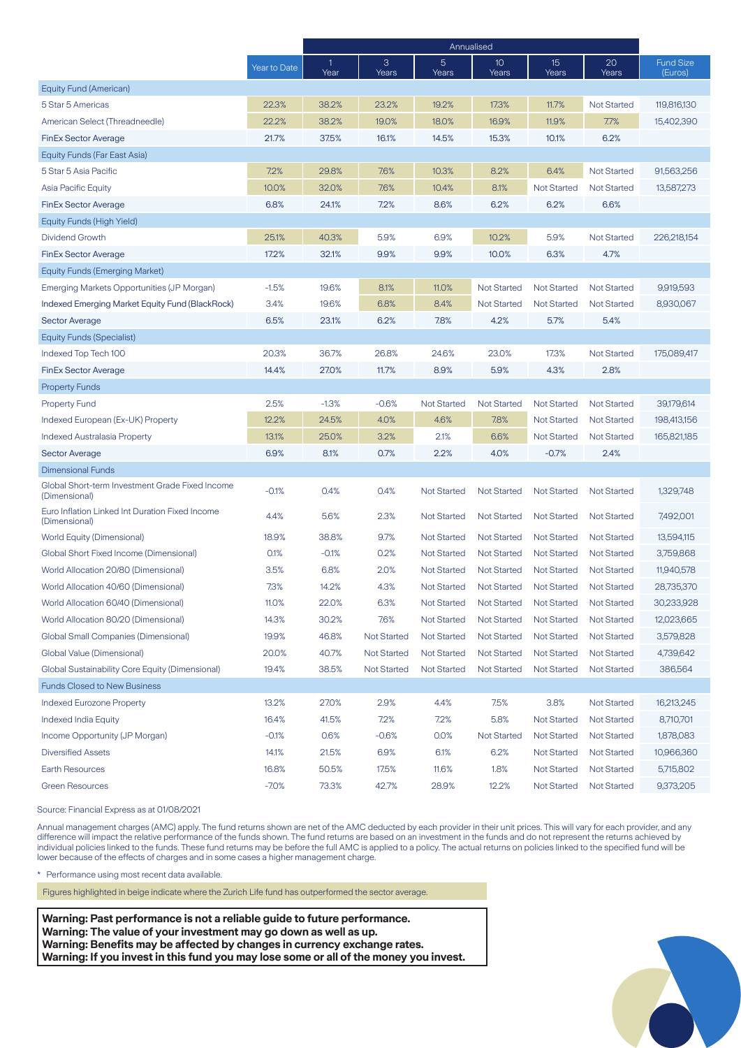|                                                                  |              | Annualised           |                    |                    |                    |                          |                    |                             |
|------------------------------------------------------------------|--------------|----------------------|--------------------|--------------------|--------------------|--------------------------|--------------------|-----------------------------|
|                                                                  | Year to Date | $\mathbf{1}$<br>Year | 3<br>Years         | 5<br>Years         | 10<br>Years        | 15 <sup>2</sup><br>Years | 20<br>Years        | <b>Fund Size</b><br>(Euros) |
| Equity Fund (American)                                           |              |                      |                    |                    |                    |                          |                    |                             |
| 5 Star 5 Americas                                                | 22.3%        | 38.2%                | 23.2%              | 19.2%              | 17.3%              | 11.7%                    | <b>Not Started</b> | 119,816,130                 |
| American Select (Threadneedle)                                   | 22.2%        | 38.2%                | 19.0%              | 18.0%              | 16.9%              | 11.9%                    | 7.7%               | 15,402,390                  |
| <b>FinEx Sector Average</b>                                      | 21.7%        | 37.5%                | 16.1%              | 14.5%              | 15.3%              | 10.1%                    | 6.2%               |                             |
| Equity Funds (Far East Asia)                                     |              |                      |                    |                    |                    |                          |                    |                             |
| 5 Star 5 Asia Pacific                                            | 7.2%         | 29.8%                | 7.6%               | 10.3%              | 8.2%               | 6.4%                     | <b>Not Started</b> | 91,563,256                  |
| Asia Pacific Equity                                              | 10.0%        | 32.0%                | 7.6%               | 10.4%              | 8.1%               | <b>Not Started</b>       | <b>Not Started</b> | 13,587,273                  |
| <b>FinEx Sector Average</b>                                      | 6.8%         | 24.1%                | 7.2%               | 8.6%               | 6.2%               | 6.2%                     | 6.6%               |                             |
| Equity Funds (High Yield)                                        |              |                      |                    |                    |                    |                          |                    |                             |
| Dividend Growth                                                  | 25.1%        | 40.3%                | 5.9%               | 6.9%               | 10.2%              | 5.9%                     | <b>Not Started</b> | 226,218,154                 |
| <b>FinEx Sector Average</b>                                      | 17.2%        | 32.1%                | 9.9%               | 9.9%               | 10.0%              | 6.3%                     | 4.7%               |                             |
| <b>Equity Funds (Emerging Market)</b>                            |              |                      |                    |                    |                    |                          |                    |                             |
| Emerging Markets Opportunities (JP Morgan)                       | $-1.5%$      | 19.6%                | 8.1%               | 11.0%              | <b>Not Started</b> | <b>Not Started</b>       | <b>Not Started</b> | 9.919.593                   |
| Indexed Emerging Market Equity Fund (BlackRock)                  | 3.4%         | 19.6%                | 6.8%               | 8.4%               | <b>Not Started</b> | <b>Not Started</b>       | <b>Not Started</b> | 8,930,067                   |
| <b>Sector Average</b>                                            | 6.5%         | 23.1%                | 6.2%               | 7.8%               | 4.2%               | 5.7%                     | 5.4%               |                             |
| Equity Funds (Specialist)                                        |              |                      |                    |                    |                    |                          |                    |                             |
| Indexed Top Tech 100                                             | 20.3%        | 36.7%                | 26.8%              | 24.6%              | 23.0%              | 17.3%                    | <b>Not Started</b> | 175,089,417                 |
| <b>FinEx Sector Average</b>                                      | 14.4%        | 27.0%                | 11.7%              | 8.9%               | 5.9%               | 4.3%                     | 2.8%               |                             |
| <b>Property Funds</b>                                            |              |                      |                    |                    |                    |                          |                    |                             |
| <b>Property Fund</b>                                             | 2.5%         | $-1.3%$              | $-0.6%$            | <b>Not Started</b> | <b>Not Started</b> | Not Started              | <b>Not Started</b> | 39,179,614                  |
| Indexed European (Ex-UK) Property                                | 12.2%        | 24.5%                | 4.0%               | 4.6%               | 7.8%               | Not Started              | <b>Not Started</b> | 198,413,156                 |
| Indexed Australasia Property                                     | 13.1%        | 25.0%                | 3.2%               | 2.1%               | 6.6%               | Not Started              | <b>Not Started</b> | 165,821,185                 |
| <b>Sector Average</b>                                            | 6.9%         | 8.1%                 | 0.7%               | 2.2%               | 4.0%               | $-0.7%$                  | 2.4%               |                             |
| <b>Dimensional Funds</b>                                         |              |                      |                    |                    |                    |                          |                    |                             |
| Global Short-term Investment Grade Fixed Income<br>(Dimensional) | $-0.1%$      | 0.4%                 | 0.4%               | <b>Not Started</b> | <b>Not Started</b> | <b>Not Started</b>       | <b>Not Started</b> | 1,329,748                   |
| Euro Inflation Linked Int Duration Fixed Income<br>(Dimensional) | 4.4%         | 5.6%                 | 2.3%               | <b>Not Started</b> | <b>Not Started</b> | <b>Not Started</b>       | <b>Not Started</b> | 7,492,001                   |
| <b>World Equity (Dimensional)</b>                                | 18.9%        | 38.8%                | 9.7%               | <b>Not Started</b> | <b>Not Started</b> | <b>Not Started</b>       | <b>Not Started</b> | 13,594,115                  |
| Global Short Fixed Income (Dimensional)                          | 0.1%         | $-0.1%$              | 0.2%               | <b>Not Started</b> | <b>Not Started</b> | <b>Not Started</b>       | <b>Not Started</b> | 3,759,868                   |
| World Allocation 20/80 (Dimensional)                             | 3.5%         | 6.8%                 | 2.0%               | <b>Not Started</b> | <b>Not Started</b> | <b>Not Started</b>       | <b>Not Started</b> | 11,940,578                  |
| World Allocation 40/60 (Dimensional)                             | 7.3%         | 14.2%                | 4.3%               | <b>Not Started</b> | <b>Not Started</b> | <b>Not Started</b>       | <b>Not Started</b> | 28,735,370                  |
| World Allocation 60/40 (Dimensional)                             | 11.0%        | 22.0%                | 6.3%               | Not Started        | Not Started        | <b>Not Started</b>       | <b>Not Started</b> | 30,233,928                  |
| World Allocation 80/20 (Dimensional)                             | 14.3%        | 30.2%                | 7.6%               | <b>Not Started</b> | Not Started        | <b>Not Started</b>       | <b>Not Started</b> | 12,023,665                  |
| <b>Global Small Companies (Dimensional)</b>                      | 19.9%        | 46.8%                | <b>Not Started</b> | <b>Not Started</b> | Not Started        | <b>Not Started</b>       | <b>Not Started</b> | 3,579,828                   |
| Global Value (Dimensional)                                       | 20.0%        | 40.7%                | <b>Not Started</b> | <b>Not Started</b> | <b>Not Started</b> | <b>Not Started</b>       | <b>Not Started</b> | 4,739,642                   |
| Global Sustainability Core Equity (Dimensional)                  | 19.4%        | 38.5%                | <b>Not Started</b> | <b>Not Started</b> | <b>Not Started</b> | <b>Not Started</b>       | <b>Not Started</b> | 386,564                     |
| <b>Funds Closed to New Business</b>                              |              |                      |                    |                    |                    |                          |                    |                             |
| <b>Indexed Eurozone Property</b>                                 | 13.2%        | 27.0%                | 2.9%               | 4.4%               | 7.5%               | 3.8%                     | <b>Not Started</b> | 16,213,245                  |
| <b>Indexed India Equity</b>                                      | 16.4%        | 41.5%                | 7.2%               | 7.2%               | 5.8%               | <b>Not Started</b>       | <b>Not Started</b> | 8,710,701                   |
| Income Opportunity (JP Morgan)                                   | $-0.1%$      | 0.6%                 | $-0.6%$            | 0.0%               | <b>Not Started</b> | <b>Not Started</b>       | <b>Not Started</b> | 1,878,083                   |
| <b>Diversified Assets</b>                                        | 14.1%        | 21.5%                | 6.9%               | 6.1%               | 6.2%               | <b>Not Started</b>       | <b>Not Started</b> | 10,966,360                  |
| <b>Earth Resources</b>                                           | 16.8%        | 50.5%                | 17.5%              | 11.6%              | 1.8%               | <b>Not Started</b>       | <b>Not Started</b> | 5,715,802                   |
| <b>Green Resources</b>                                           | $-7.0%$      | 73.3%                | 42.7%              | 28.9%              | 12.2%              | <b>Not Started</b>       | <b>Not Started</b> | 9,373,205                   |

Source: Financial Express as at 01/08/2021

Annual management charges (AMC) apply. The fund returns shown are net of the AMC deducted by each provider in their unit prices. This will vary for each provider, and any difference will impact the relative performance of the funds shown. The fund returns are based on an investment in the funds and do not represent the returns achieved by individual policies linked to the funds. These fund returns may be before the full AMC is applied to a policy. The actual returns on policies linked to the specified fund will be lower because of the effects of charges and in some cases a higher management charge.

\* Performance using most recent data available.

Figures highlighted in beige indicate where the Zurich Life fund has outperformed the sector average.

**Warning: Past performance is not a reliable guide to future performance. Warning: The value of your investment may go down as well as up. Warning: Benefits may be affected by changes in currency exchange rates. Warning: If you invest in this fund you may lose some or all of the money you invest.**